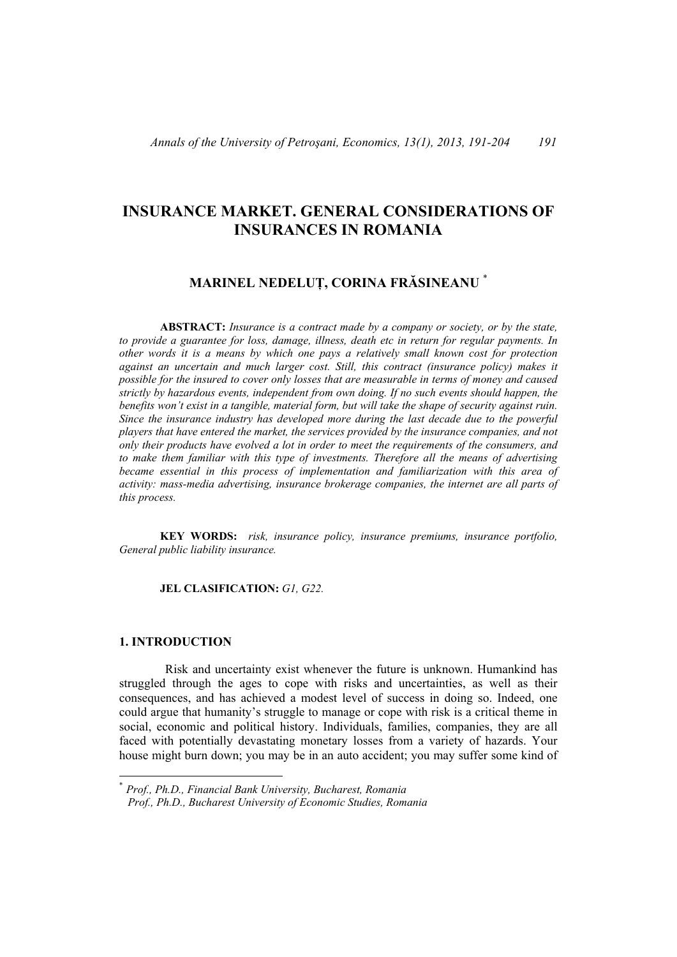# **INSURANCE MARKET. GENERAL CONSIDERATIONS OF INSURANCES IN ROMANIA**

## **MARINEL NEDELUŢ, CORINA FRĂSINEANU** \*

**ABSTRACT:** *Insurance is a contract made by a company or society, or by the state, to provide a guarantee for loss, damage, illness, death etc in return for regular payments. In other words it is a means by which one pays a relatively small known cost for protection against an uncertain and much larger cost. Still, this contract (insurance policy) makes it possible for the insured to cover only losses that are measurable in terms of money and caused strictly by hazardous events, independent from own doing. If no such events should happen, the benefits won't exist in a tangible, material form, but will take the shape of security against ruin. Since the insurance industry has developed more during the last decade due to the powerful players that have entered the market, the services provided by the insurance companies, and not only their products have evolved a lot in order to meet the requirements of the consumers, and to make them familiar with this type of investments. Therefore all the means of advertising became essential in this process of implementation and familiarization with this area of activity: mass-media advertising, insurance brokerage companies, the internet are all parts of this process.* 

 **KEY WORDS:** *risk, insurance policy, insurance premiums, insurance portfolio, General public liability insurance.* 

### **JEL CLASIFICATION:** *G1, G22.*

## **1. INTRODUCTION**

 $\overline{a}$ 

Risk and uncertainty exist whenever the future is unknown. Humankind has struggled through the ages to cope with risks and uncertainties, as well as their consequences, and has achieved a modest level of success in doing so. Indeed, one could argue that humanity's struggle to manage or cope with risk is a critical theme in social, economic and political history. Individuals, families, companies, they are all faced with potentially devastating monetary losses from a variety of hazards. Your house might burn down; you may be in an auto accident; you may suffer some kind of

<sup>\*</sup> *Prof., Ph.D., Financial Bank University, Bucharest, Romania Prof., Ph.D., Bucharest University of Economic Studies, Romania*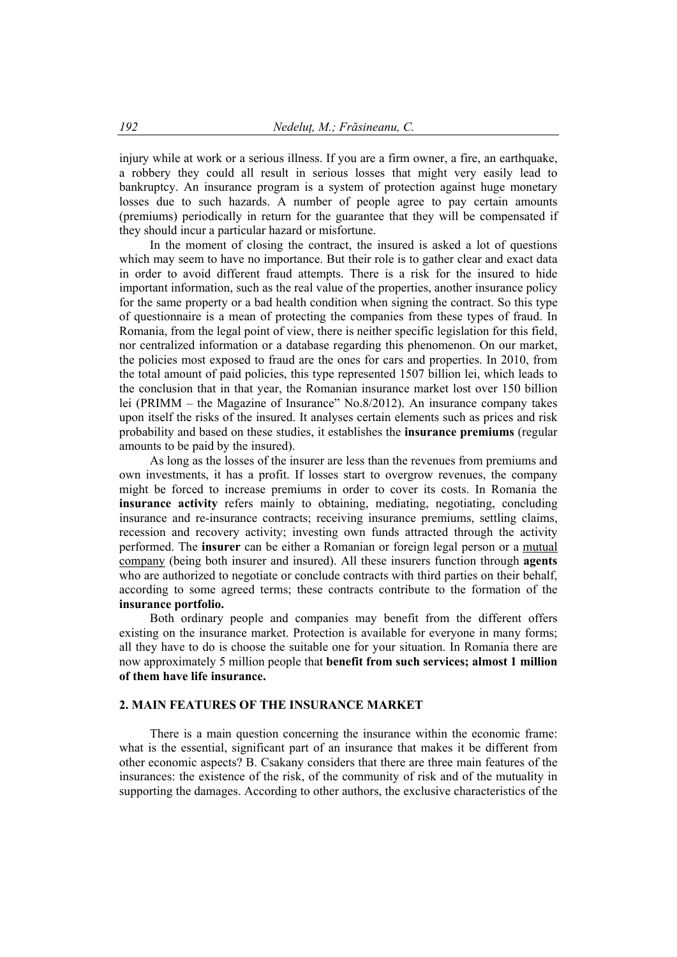injury while at work or a serious illness. If you are a firm owner, a fire, an earthquake, a robbery they could all result in serious losses that might very easily lead to bankruptcy. An insurance program is a system of protection against huge monetary losses due to such hazards. A number of people agree to pay certain amounts (premiums) periodically in return for the guarantee that they will be compensated if they should incur a particular hazard or misfortune.

 In the moment of closing the contract, the insured is asked a lot of questions which may seem to have no importance. But their role is to gather clear and exact data in order to avoid different fraud attempts. There is a risk for the insured to hide important information, such as the real value of the properties, another insurance policy for the same property or a bad health condition when signing the contract. So this type of questionnaire is a mean of protecting the companies from these types of fraud. In Romania, from the legal point of view, there is neither specific legislation for this field, nor centralized information or a database regarding this phenomenon. On our market, the policies most exposed to fraud are the ones for cars and properties. In 2010, from the total amount of paid policies, this type represented 1507 billion lei, which leads to the conclusion that in that year, the Romanian insurance market lost over 150 billion lei (PRIMM – the Magazine of Insurance" No.8/2012). An insurance company takes upon itself the risks of the insured. It analyses certain elements such as prices and risk probability and based on these studies, it establishes the **insurance premiums** (regular amounts to be paid by the insured).

 As long as the losses of the insurer are less than the revenues from premiums and own investments, it has a profit. If losses start to overgrow revenues, the company might be forced to increase premiums in order to cover its costs. In Romania the **insurance activity** refers mainly to obtaining, mediating, negotiating, concluding insurance and re-insurance contracts; receiving insurance premiums, settling claims, recession and recovery activity; investing own funds attracted through the activity performed. The **insurer** can be either a Romanian or foreign legal person or a mutual company (being both insurer and insured). All these insurers function through **agents** who are authorized to negotiate or conclude contracts with third parties on their behalf, according to some agreed terms; these contracts contribute to the formation of the **insurance portfolio.** 

 Both ordinary people and companies may benefit from the different offers existing on the insurance market. Protection is available for everyone in many forms; all they have to do is choose the suitable one for your situation. In Romania there are now approximately 5 million people that **benefit from such services; almost 1 million of them have life insurance.** 

## **2. MAIN FEATURES OF THE INSURANCE MARKET**

 There is a main question concerning the insurance within the economic frame: what is the essential, significant part of an insurance that makes it be different from other economic aspects? B. Csakany considers that there are three main features of the insurances: the existence of the risk, of the community of risk and of the mutuality in supporting the damages. According to other authors, the exclusive characteristics of the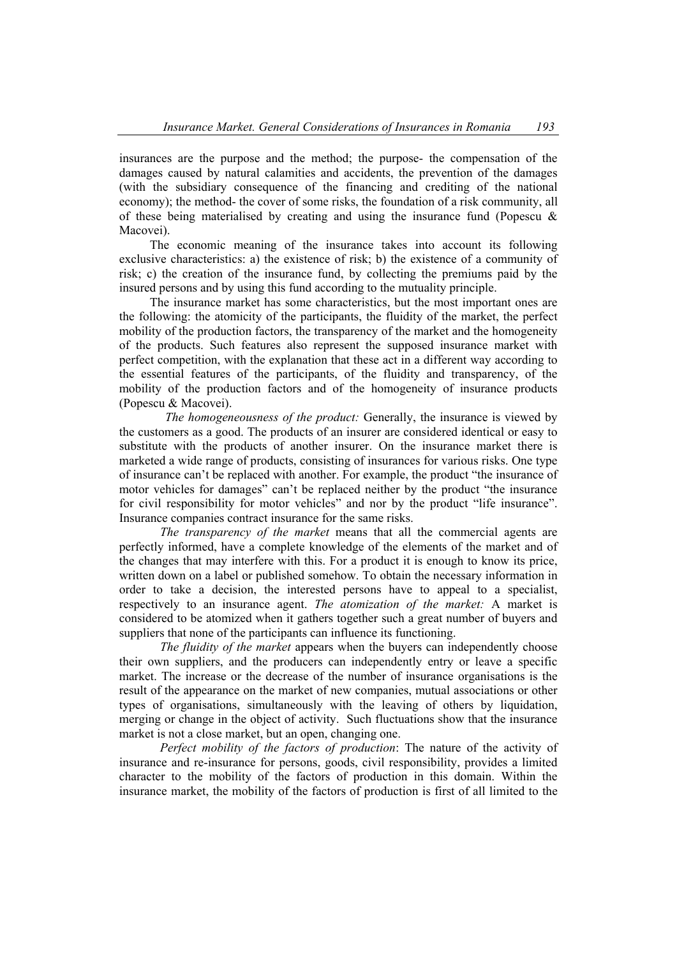insurances are the purpose and the method; the purpose- the compensation of the damages caused by natural calamities and accidents, the prevention of the damages (with the subsidiary consequence of the financing and crediting of the national economy); the method- the cover of some risks, the foundation of a risk community, all of these being materialised by creating and using the insurance fund (Popescu  $\&$ Macovei).

 The economic meaning of the insurance takes into account its following exclusive characteristics: a) the existence of risk; b) the existence of a community of risk; c) the creation of the insurance fund, by collecting the premiums paid by the insured persons and by using this fund according to the mutuality principle.

 The insurance market has some characteristics, but the most important ones are the following: the atomicity of the participants, the fluidity of the market, the perfect mobility of the production factors, the transparency of the market and the homogeneity of the products. Such features also represent the supposed insurance market with perfect competition, with the explanation that these act in a different way according to the essential features of the participants, of the fluidity and transparency, of the mobility of the production factors and of the homogeneity of insurance products (Popescu & Macovei).

*The homogeneousness of the product:* Generally, the insurance is viewed by the customers as a good. The products of an insurer are considered identical or easy to substitute with the products of another insurer. On the insurance market there is marketed a wide range of products, consisting of insurances for various risks. One type of insurance can't be replaced with another. For example, the product "the insurance of motor vehicles for damages" can't be replaced neither by the product "the insurance for civil responsibility for motor vehicles" and nor by the product "life insurance". Insurance companies contract insurance for the same risks.

*The transparency of the market* means that all the commercial agents are perfectly informed, have a complete knowledge of the elements of the market and of the changes that may interfere with this. For a product it is enough to know its price, written down on a label or published somehow. To obtain the necessary information in order to take a decision, the interested persons have to appeal to a specialist, respectively to an insurance agent. *The atomization of the market:* A market is considered to be atomized when it gathers together such a great number of buyers and suppliers that none of the participants can influence its functioning.

*The fluidity of the market* appears when the buyers can independently choose their own suppliers, and the producers can independently entry or leave a specific market. The increase or the decrease of the number of insurance organisations is the result of the appearance on the market of new companies, mutual associations or other types of organisations, simultaneously with the leaving of others by liquidation, merging or change in the object of activity. Such fluctuations show that the insurance market is not a close market, but an open, changing one.

*Perfect mobility of the factors of production*: The nature of the activity of insurance and re-insurance for persons, goods, civil responsibility, provides a limited character to the mobility of the factors of production in this domain. Within the insurance market, the mobility of the factors of production is first of all limited to the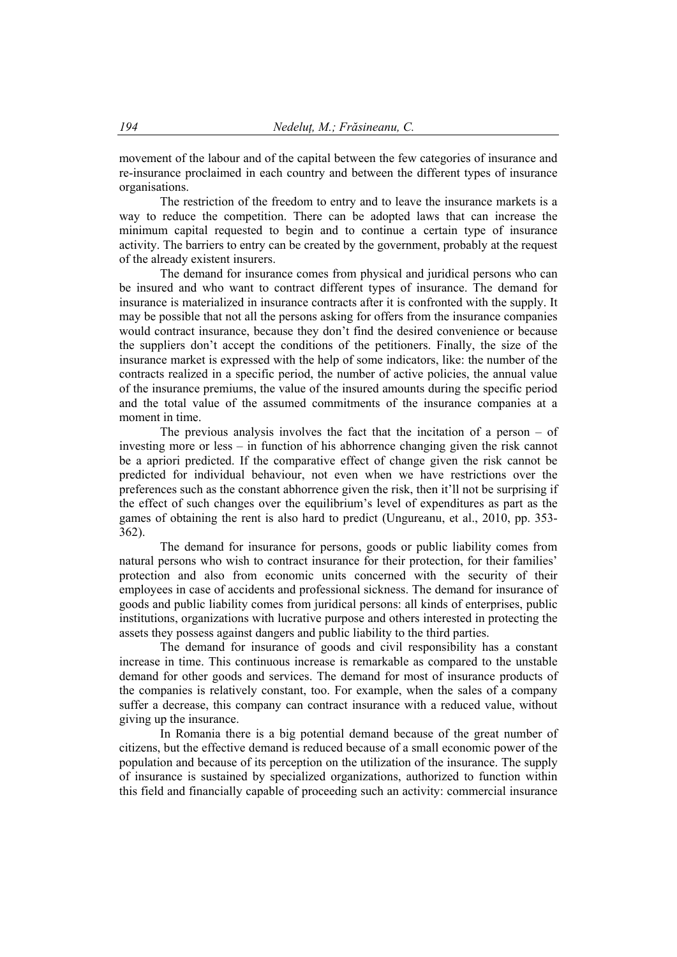movement of the labour and of the capital between the few categories of insurance and re-insurance proclaimed in each country and between the different types of insurance organisations.

The restriction of the freedom to entry and to leave the insurance markets is a way to reduce the competition. There can be adopted laws that can increase the minimum capital requested to begin and to continue a certain type of insurance activity. The barriers to entry can be created by the government, probably at the request of the already existent insurers.

The demand for insurance comes from physical and juridical persons who can be insured and who want to contract different types of insurance. The demand for insurance is materialized in insurance contracts after it is confronted with the supply. It may be possible that not all the persons asking for offers from the insurance companies would contract insurance, because they don't find the desired convenience or because the suppliers don't accept the conditions of the petitioners. Finally, the size of the insurance market is expressed with the help of some indicators, like: the number of the contracts realized in a specific period, the number of active policies, the annual value of the insurance premiums, the value of the insured amounts during the specific period and the total value of the assumed commitments of the insurance companies at a moment in time.

The previous analysis involves the fact that the incitation of a person  $-$  of investing more or less – in function of his abhorrence changing given the risk cannot be a apriori predicted. If the comparative effect of change given the risk cannot be predicted for individual behaviour, not even when we have restrictions over the preferences such as the constant abhorrence given the risk, then it'll not be surprising if the effect of such changes over the equilibrium's level of expenditures as part as the games of obtaining the rent is also hard to predict (Ungureanu, et al., 2010, pp. 353- 362).

The demand for insurance for persons, goods or public liability comes from natural persons who wish to contract insurance for their protection, for their families' protection and also from economic units concerned with the security of their employees in case of accidents and professional sickness. The demand for insurance of goods and public liability comes from juridical persons: all kinds of enterprises, public institutions, organizations with lucrative purpose and others interested in protecting the assets they possess against dangers and public liability to the third parties.

The demand for insurance of goods and civil responsibility has a constant increase in time. This continuous increase is remarkable as compared to the unstable demand for other goods and services. The demand for most of insurance products of the companies is relatively constant, too. For example, when the sales of a company suffer a decrease, this company can contract insurance with a reduced value, without giving up the insurance.

In Romania there is a big potential demand because of the great number of citizens, but the effective demand is reduced because of a small economic power of the population and because of its perception on the utilization of the insurance. The supply of insurance is sustained by specialized organizations, authorized to function within this field and financially capable of proceeding such an activity: commercial insurance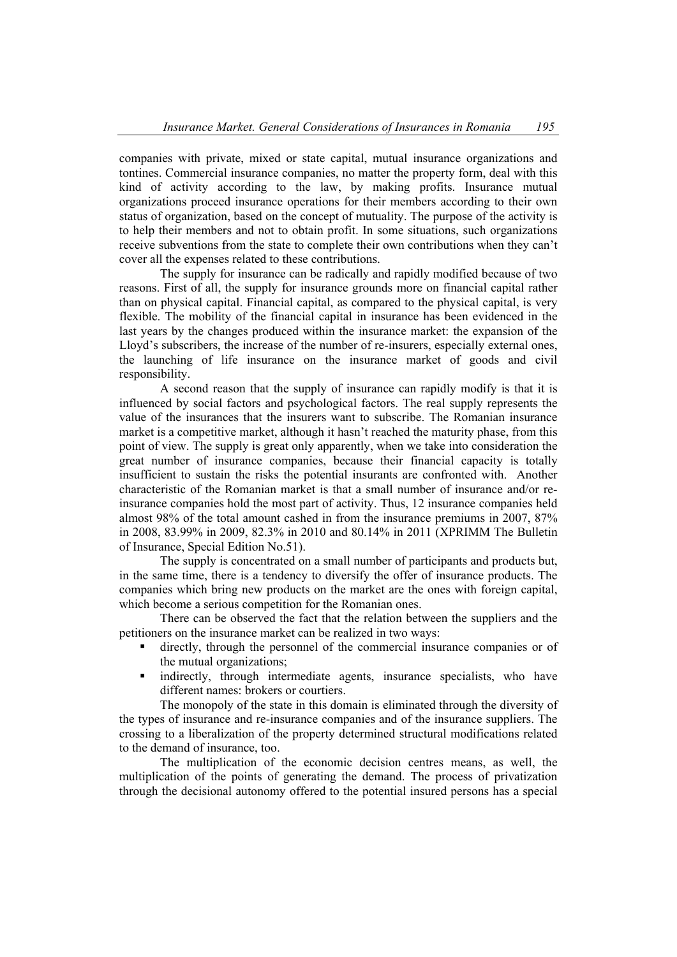companies with private, mixed or state capital, mutual insurance organizations and tontines. Commercial insurance companies, no matter the property form, deal with this kind of activity according to the law, by making profits. Insurance mutual organizations proceed insurance operations for their members according to their own status of organization, based on the concept of mutuality. The purpose of the activity is to help their members and not to obtain profit. In some situations, such organizations receive subventions from the state to complete their own contributions when they can't cover all the expenses related to these contributions.

The supply for insurance can be radically and rapidly modified because of two reasons. First of all, the supply for insurance grounds more on financial capital rather than on physical capital. Financial capital, as compared to the physical capital, is very flexible. The mobility of the financial capital in insurance has been evidenced in the last years by the changes produced within the insurance market: the expansion of the Lloyd's subscribers, the increase of the number of re-insurers, especially external ones, the launching of life insurance on the insurance market of goods and civil responsibility.

A second reason that the supply of insurance can rapidly modify is that it is influenced by social factors and psychological factors. The real supply represents the value of the insurances that the insurers want to subscribe. The Romanian insurance market is a competitive market, although it hasn't reached the maturity phase, from this point of view. The supply is great only apparently, when we take into consideration the great number of insurance companies, because their financial capacity is totally insufficient to sustain the risks the potential insurants are confronted with. Another characteristic of the Romanian market is that a small number of insurance and/or reinsurance companies hold the most part of activity. Thus, 12 insurance companies held almost 98% of the total amount cashed in from the insurance premiums in 2007, 87% in 2008, 83.99% in 2009, 82.3% in 2010 and 80.14% in 2011 (XPRIMM The Bulletin of Insurance, Special Edition No.51).

The supply is concentrated on a small number of participants and products but, in the same time, there is a tendency to diversify the offer of insurance products. The companies which bring new products on the market are the ones with foreign capital, which become a serious competition for the Romanian ones.

There can be observed the fact that the relation between the suppliers and the petitioners on the insurance market can be realized in two ways:

- directly, through the personnel of the commercial insurance companies or of the mutual organizations;
- indirectly, through intermediate agents, insurance specialists, who have different names: brokers or courtiers.

The monopoly of the state in this domain is eliminated through the diversity of the types of insurance and re-insurance companies and of the insurance suppliers. The crossing to a liberalization of the property determined structural modifications related to the demand of insurance, too.

The multiplication of the economic decision centres means, as well, the multiplication of the points of generating the demand. The process of privatization through the decisional autonomy offered to the potential insured persons has a special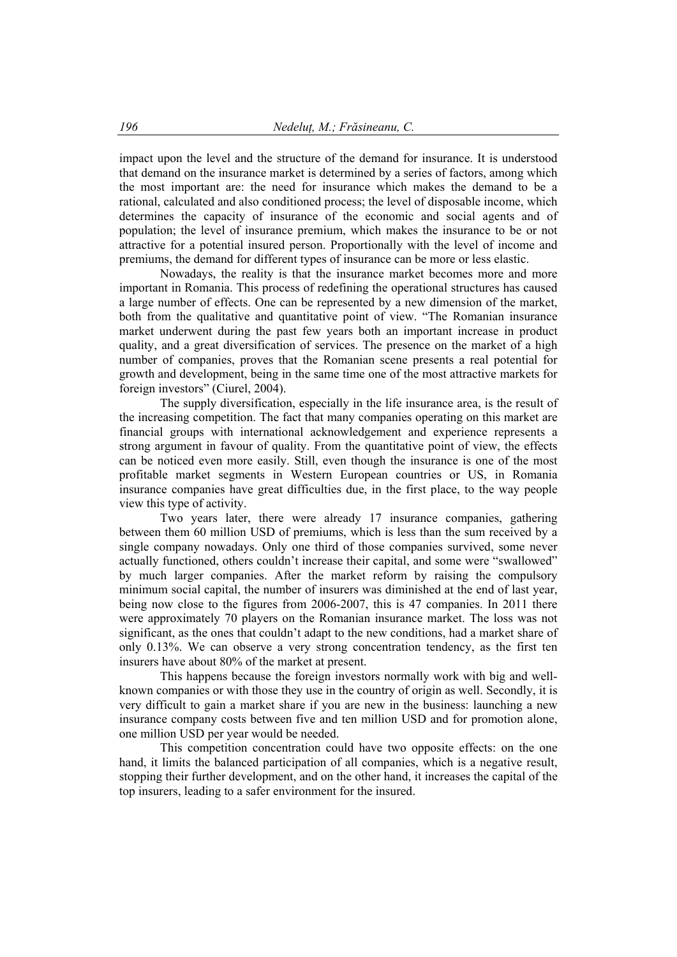impact upon the level and the structure of the demand for insurance. It is understood that demand on the insurance market is determined by a series of factors, among which the most important are: the need for insurance which makes the demand to be a rational, calculated and also conditioned process; the level of disposable income, which determines the capacity of insurance of the economic and social agents and of population; the level of insurance premium, which makes the insurance to be or not attractive for a potential insured person. Proportionally with the level of income and premiums, the demand for different types of insurance can be more or less elastic.

Nowadays, the reality is that the insurance market becomes more and more important in Romania. This process of redefining the operational structures has caused a large number of effects. One can be represented by a new dimension of the market, both from the qualitative and quantitative point of view. "The Romanian insurance market underwent during the past few years both an important increase in product quality, and a great diversification of services. The presence on the market of a high number of companies, proves that the Romanian scene presents a real potential for growth and development, being in the same time one of the most attractive markets for foreign investors" (Ciurel, 2004).

The supply diversification, especially in the life insurance area, is the result of the increasing competition. The fact that many companies operating on this market are financial groups with international acknowledgement and experience represents a strong argument in favour of quality. From the quantitative point of view, the effects can be noticed even more easily. Still, even though the insurance is one of the most profitable market segments in Western European countries or US, in Romania insurance companies have great difficulties due, in the first place, to the way people view this type of activity.

Two years later, there were already 17 insurance companies, gathering between them 60 million USD of premiums, which is less than the sum received by a single company nowadays. Only one third of those companies survived, some never actually functioned, others couldn't increase their capital, and some were "swallowed" by much larger companies. After the market reform by raising the compulsory minimum social capital, the number of insurers was diminished at the end of last year, being now close to the figures from 2006-2007, this is 47 companies. In 2011 there were approximately 70 players on the Romanian insurance market. The loss was not significant, as the ones that couldn't adapt to the new conditions, had a market share of only 0.13%. We can observe a very strong concentration tendency, as the first ten insurers have about 80% of the market at present.

This happens because the foreign investors normally work with big and wellknown companies or with those they use in the country of origin as well. Secondly, it is very difficult to gain a market share if you are new in the business: launching a new insurance company costs between five and ten million USD and for promotion alone, one million USD per year would be needed.

This competition concentration could have two opposite effects: on the one hand, it limits the balanced participation of all companies, which is a negative result, stopping their further development, and on the other hand, it increases the capital of the top insurers, leading to a safer environment for the insured.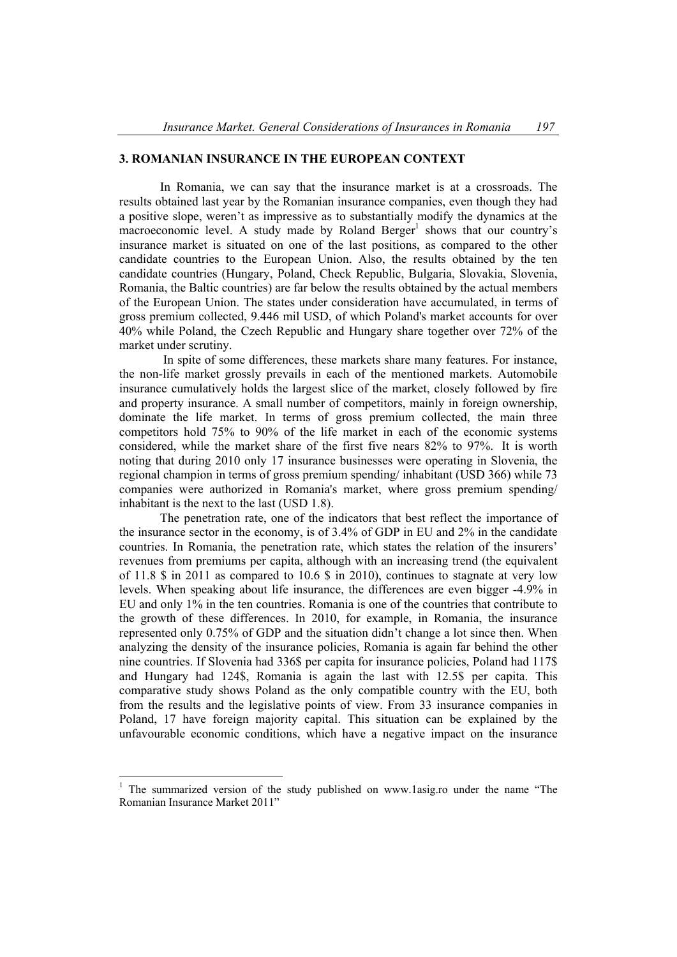## **3. ROMANIAN INSURANCE IN THE EUROPEAN CONTEXT**

In Romania, we can say that the insurance market is at a crossroads. The results obtained last year by the Romanian insurance companies, even though they had a positive slope, weren't as impressive as to substantially modify the dynamics at the macroeconomic level. A study made by Roland Berger<sup>1</sup> shows that our country's insurance market is situated on one of the last positions, as compared to the other candidate countries to the European Union. Also, the results obtained by the ten candidate countries (Hungary, Poland, Check Republic, Bulgaria, Slovakia, Slovenia, Romania, the Baltic countries) are far below the results obtained by the actual members of the European Union. The states under consideration have accumulated, in terms of gross premium collected, 9.446 mil USD, of which Poland's market accounts for over 40% while Poland, the Czech Republic and Hungary share together over 72% of the market under scrutiny.

 In spite of some differences, these markets share many features. For instance, the non-life market grossly prevails in each of the mentioned markets. Automobile insurance cumulatively holds the largest slice of the market, closely followed by fire and property insurance. A small number of competitors, mainly in foreign ownership, dominate the life market. In terms of gross premium collected, the main three competitors hold 75% to 90% of the life market in each of the economic systems considered, while the market share of the first five nears 82% to 97%. It is worth noting that during 2010 only 17 insurance businesses were operating in Slovenia, the regional champion in terms of gross premium spending/ inhabitant (USD 366) while 73 companies were authorized in Romania's market, where gross premium spending/ inhabitant is the next to the last (USD 1.8).

The penetration rate, one of the indicators that best reflect the importance of the insurance sector in the economy, is of 3.4% of GDP in EU and 2% in the candidate countries. In Romania, the penetration rate, which states the relation of the insurers' revenues from premiums per capita, although with an increasing trend (the equivalent of 11.8 \$ in 2011 as compared to 10.6 \$ in 2010), continues to stagnate at very low levels. When speaking about life insurance, the differences are even bigger -4.9% in EU and only 1% in the ten countries. Romania is one of the countries that contribute to the growth of these differences. In 2010, for example, in Romania, the insurance represented only 0.75% of GDP and the situation didn't change a lot since then. When analyzing the density of the insurance policies, Romania is again far behind the other nine countries. If Slovenia had 336\$ per capita for insurance policies, Poland had 117\$ and Hungary had 124\$, Romania is again the last with 12.5\$ per capita. This comparative study shows Poland as the only compatible country with the EU, both from the results and the legislative points of view. From 33 insurance companies in Poland, 17 have foreign majority capital. This situation can be explained by the unfavourable economic conditions, which have a negative impact on the insurance

 $\overline{a}$ 

<sup>&</sup>lt;sup>1</sup> The summarized version of the study published on www.1asig.ro under the name "The Romanian Insurance Market 2011"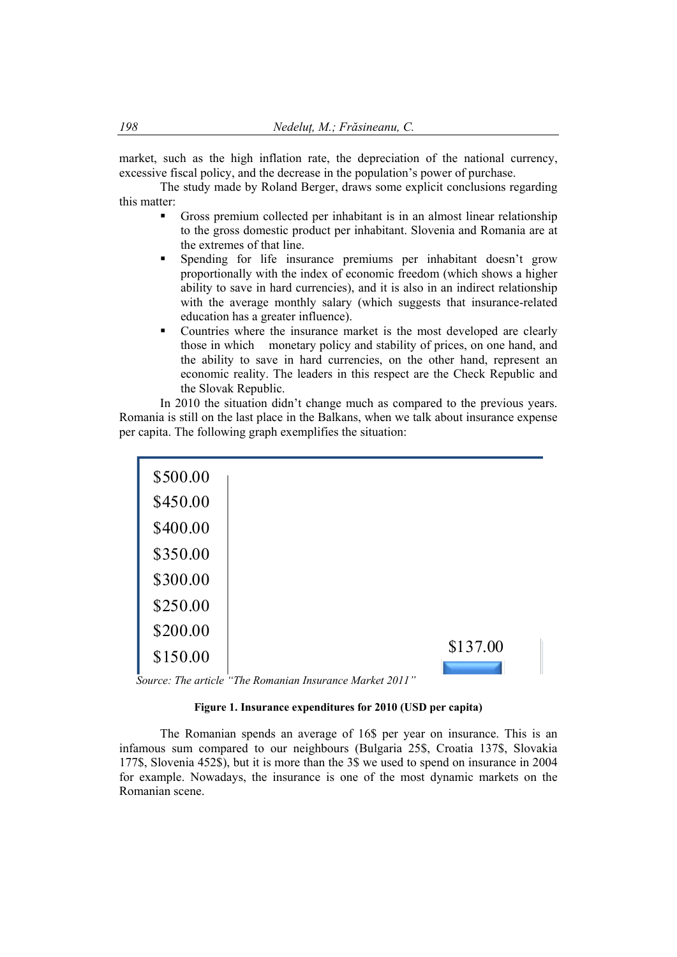market, such as the high inflation rate, the depreciation of the national currency, excessive fiscal policy, and the decrease in the population's power of purchase.

 The study made by Roland Berger, draws some explicit conclusions regarding this matter:

- Gross premium collected per inhabitant is in an almost linear relationship to the gross domestic product per inhabitant. Slovenia and Romania are at the extremes of that line.
- Spending for life insurance premiums per inhabitant doesn't grow proportionally with the index of economic freedom (which shows a higher ability to save in hard currencies), and it is also in an indirect relationship with the average monthly salary (which suggests that insurance-related education has a greater influence).
- Countries where the insurance market is the most developed are clearly those in which monetary policy and stability of prices, on one hand, and the ability to save in hard currencies, on the other hand, represent an economic reality. The leaders in this respect are the Check Republic and the Slovak Republic.

 In 2010 the situation didn't change much as compared to the previous years. Romania is still on the last place in the Balkans, when we talk about insurance expense per capita. The following graph exemplifies the situation:

| \$500.00 |          |
|----------|----------|
| \$450.00 |          |
| \$400.00 |          |
| \$350.00 |          |
| \$300.00 |          |
| \$250.00 |          |
| \$200.00 |          |
| \$150.00 | \$137.00 |
|          |          |

*Source: The article "The Romanian Insurance Market 2011"*

#### **Figure 1. Insurance expenditures for 2010 (USD per capita)**

The Romanian spends an average of 16\$ per year on insurance. This is an infamous sum compared to our neighbours (Bulgaria 25\$, Croatia 137\$, Slovakia 177\$, Slovenia 452\$), but it is more than the 3\$ we used to spend on insurance in 2004 for example. Nowadays, the insurance is one of the most dynamic markets on the Romanian scene.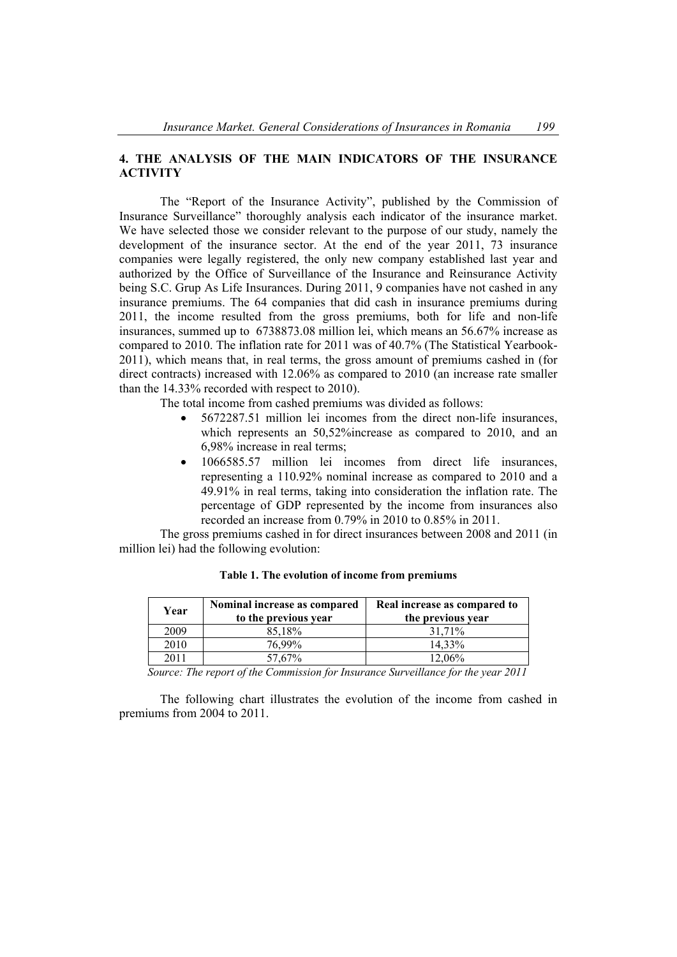## **4. THE ANALYSIS OF THE MAIN INDICATORS OF THE INSURANCE ACTIVITY**

The "Report of the Insurance Activity", published by the Commission of Insurance Surveillance" thoroughly analysis each indicator of the insurance market. We have selected those we consider relevant to the purpose of our study, namely the development of the insurance sector. At the end of the year 2011, 73 insurance companies were legally registered, the only new company established last year and authorized by the Office of Surveillance of the Insurance and Reinsurance Activity being S.C. Grup As Life Insurances. During 2011, 9 companies have not cashed in any insurance premiums. The 64 companies that did cash in insurance premiums during 2011, the income resulted from the gross premiums, both for life and non-life insurances, summed up to 6738873.08 million lei, which means an 56.67% increase as compared to 2010. The inflation rate for 2011 was of 40.7% (The Statistical Yearbook-2011), which means that, in real terms, the gross amount of premiums cashed in (for direct contracts) increased with 12.06% as compared to 2010 (an increase rate smaller than the 14.33% recorded with respect to 2010).

The total income from cashed premiums was divided as follows:

- 5672287.51 million lei incomes from the direct non-life insurances, which represents an 50,52% increase as compared to 2010, and an 6,98% increase in real terms;
- 1066585.57 million lei incomes from direct life insurances, representing a 110.92% nominal increase as compared to 2010 and a 49.91% in real terms, taking into consideration the inflation rate. The percentage of GDP represented by the income from insurances also recorded an increase from 0.79% in 2010 to 0.85% in 2011.

The gross premiums cashed in for direct insurances between 2008 and 2011 (in million lei) had the following evolution:

| Year | Nominal increase as compared<br>to the previous year | Real increase as compared to<br>the previous year |
|------|------------------------------------------------------|---------------------------------------------------|
| 2009 | 85,18%                                               | 31.71%                                            |
| 2010 | 76.99%                                               | 14.33%                                            |
| 2011 | 57.67%                                               | 12.06%                                            |

| Table 1. The evolution of income from premiums |  |
|------------------------------------------------|--|
|------------------------------------------------|--|

 *Source: The report of the Commission for Insurance Surveillance for the year 2011* 

The following chart illustrates the evolution of the income from cashed in premiums from 2004 to 2011.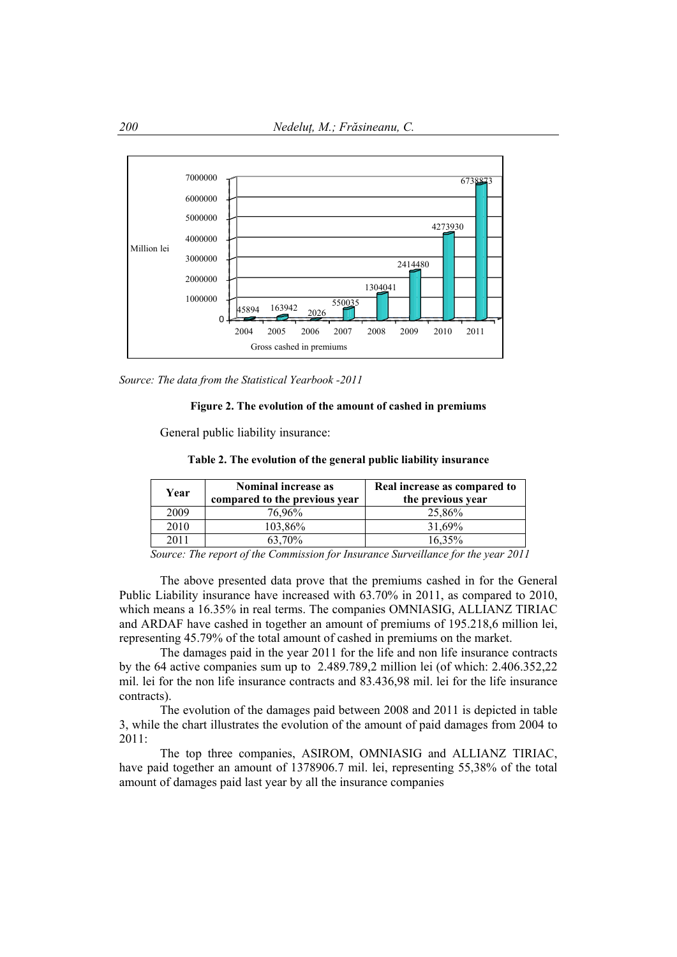

*Source: The data from the Statistical Yearbook -2011*

#### **Figure 2. The evolution of the amount of cashed in premiums**

General public liability insurance:

**Table 2. The evolution of the general public liability insurance** 

| Year | <b>Nominal increase as</b><br>compared to the previous year | Real increase as compared to<br>the previous year |
|------|-------------------------------------------------------------|---------------------------------------------------|
| 2009 | 76,96%                                                      | 25,86%                                            |
| 2010 | 103,86%                                                     | 31.69%                                            |
| 2011 | 63,70%                                                      | 16,35%                                            |

 *Source: The report of the Commission for Insurance Surveillance for the year 2011* 

The above presented data prove that the premiums cashed in for the General Public Liability insurance have increased with 63.70% in 2011, as compared to 2010, which means a 16.35% in real terms. The companies OMNIASIG, ALLIANZ TIRIAC and ARDAF have cashed in together an amount of premiums of 195.218,6 million lei, representing 45.79% of the total amount of cashed in premiums on the market.

The damages paid in the year 2011 for the life and non life insurance contracts by the 64 active companies sum up to 2.489.789,2 million lei (of which: 2.406.352,22 mil. lei for the non life insurance contracts and 83.436,98 mil. lei for the life insurance contracts).

The evolution of the damages paid between 2008 and 2011 is depicted in table 3, while the chart illustrates the evolution of the amount of paid damages from 2004 to 2011:

The top three companies, ASIROM, OMNIASIG and ALLIANZ TIRIAC, have paid together an amount of 1378906.7 mil. lei, representing 55,38% of the total amount of damages paid last year by all the insurance companies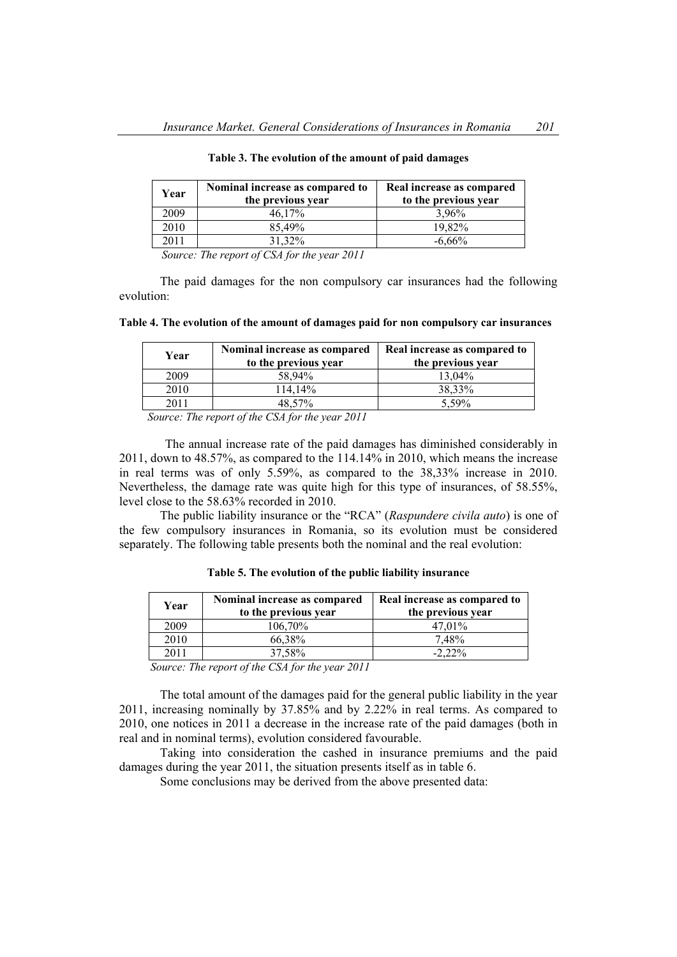| Year | Nominal increase as compared to<br>the previous year | Real increase as compared<br>to the previous year |
|------|------------------------------------------------------|---------------------------------------------------|
| 2009 | 46.17%                                               | 3.96%                                             |
| 2010 | 85.49%                                               | 19.82%                                            |
| 2011 | 31.32%                                               | $-6.66\%$                                         |

**Table 3. The evolution of the amount of paid damages** 

 *Source: The report of CSA for the year 2011* 

The paid damages for the non compulsory car insurances had the following evolution:

| Table 4. The evolution of the amount of damages paid for non compulsory car insurances |  |  |  |  |  |  |  |  |
|----------------------------------------------------------------------------------------|--|--|--|--|--|--|--|--|
|                                                                                        |  |  |  |  |  |  |  |  |

| Year           | Nominal increase as compared<br>to the previous year                        | Real increase as compared to<br>the previous year |
|----------------|-----------------------------------------------------------------------------|---------------------------------------------------|
| 2009           | 58.94%                                                                      | 13,04%                                            |
| 2010           | 114.14%                                                                     | 38,33%                                            |
| 2011           | 48.57%                                                                      | 5.59%                                             |
| $-1$<br>$\sim$ | $\sim$ $\sim$ $\sim$ $\sim$ $\sim$<br>$\sim$ $\sim$<br>$\sim$ $\sim$ $\sim$ |                                                   |

 *Source: The report of the CSA for the year 2011* 

The annual increase rate of the paid damages has diminished considerably in 2011, down to 48.57%, as compared to the 114.14% in 2010, which means the increase in real terms was of only 5.59%, as compared to the 38,33% increase in 2010. Nevertheless, the damage rate was quite high for this type of insurances, of 58.55%, level close to the 58.63% recorded in 2010.

The public liability insurance or the "RCA" (*Raspundere civila auto*) is one of the few compulsory insurances in Romania, so its evolution must be considered separately. The following table presents both the nominal and the real evolution:

| Year | Nominal increase as compared<br>to the previous year | Real increase as compared to<br>the previous year |
|------|------------------------------------------------------|---------------------------------------------------|
| 2009 | 106,70%                                              | 47.01%                                            |
| 2010 | 66,38%                                               | 7.48%                                             |
| 2011 | 37,58%                                               | $-2.22\%$                                         |

**Table 5. The evolution of the public liability insurance** 

 *Source: The report of the CSA for the year 2011* 

 The total amount of the damages paid for the general public liability in the year 2011, increasing nominally by 37.85% and by 2.22% in real terms. As compared to 2010, one notices in 2011 a decrease in the increase rate of the paid damages (both in real and in nominal terms), evolution considered favourable.

Taking into consideration the cashed in insurance premiums and the paid damages during the year 2011, the situation presents itself as in table 6.

Some conclusions may be derived from the above presented data: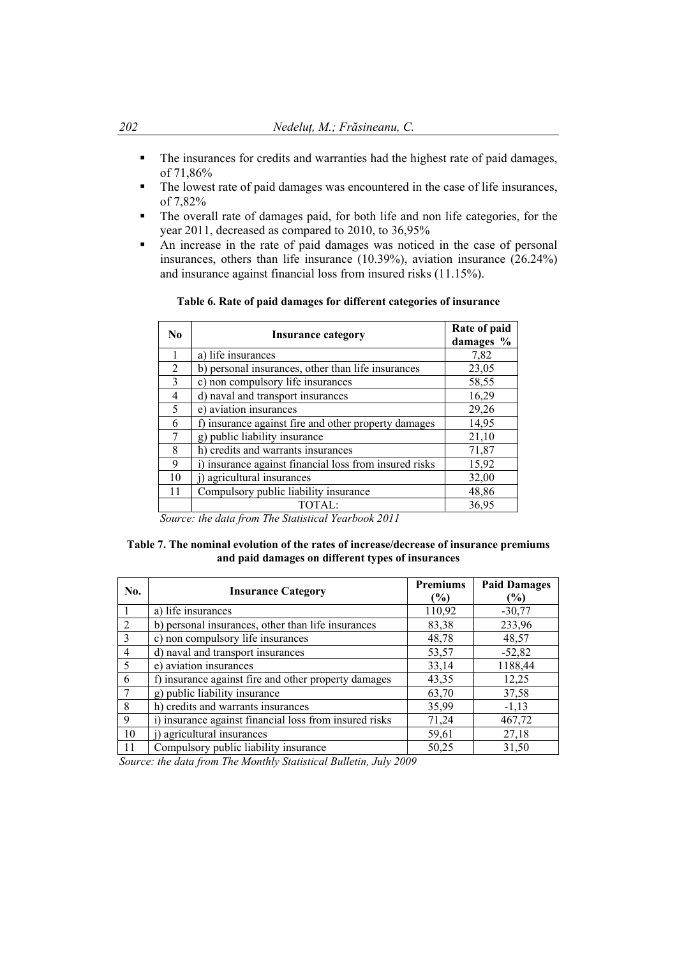- The insurances for credits and warranties had the highest rate of paid damages, of 71,86%
- The lowest rate of paid damages was encountered in the case of life insurances, of 7,82%
- The overall rate of damages paid, for both life and non life categories, for the year 2011, decreased as compared to 2010, to 36,95%
- An increase in the rate of paid damages was noticed in the case of personal insurances, others than life insurance (10.39%), aviation insurance (26.24%) and insurance against financial loss from insured risks (11.15%).

|  |  |  | Table 6. Rate of paid damages for different categories of insurance |
|--|--|--|---------------------------------------------------------------------|
|  |  |  |                                                                     |

| No.          | Insurance category                                     | Rate of paid<br>damages % |
|--------------|--------------------------------------------------------|---------------------------|
|              | a) life insurances                                     | 7,82                      |
| 2            | b) personal insurances, other than life insurances     | 23,05                     |
| $\mathbf{3}$ | c) non compulsory life insurances                      | 58,55                     |
| 4            | d) naval and transport insurances                      | 16,29                     |
| 5            | e) aviation insurances                                 | 29,26                     |
| 6            | f) insurance against fire and other property damages   | 14,95                     |
| 7            | g) public liability insurance                          | 21,10                     |
| 8            | h) credits and warrants insurances                     | 71,87                     |
| 9            | i) insurance against financial loss from insured risks | 15,92                     |
| 10           | j) agricultural insurances                             | 32,00                     |
| 11           | Compulsory public liability insurance                  | 48,86                     |
|              | TOTAL:                                                 | 36,95                     |

 *Source: the data from The Statistical Yearbook 2011* 

| Table 7. The nominal evolution of the rates of increase/decrease of insurance premiums |
|----------------------------------------------------------------------------------------|
| and paid damages on different types of insurances                                      |

| No.            | <b>Insurance Category</b>                              | <b>Premiums</b> | <b>Paid Damages</b> |
|----------------|--------------------------------------------------------|-----------------|---------------------|
|                |                                                        | (%)             | $(\%)$              |
|                | a) life insurances                                     | 110,92          | $-30,77$            |
| $\overline{2}$ | b) personal insurances, other than life insurances     | 83,38           | 233,96              |
| $\mathcal{E}$  | c) non compulsory life insurances                      | 48,78           | 48,57               |
| 4              | d) naval and transport insurances                      | 53,57           | $-52,82$            |
| 5              | e) aviation insurances                                 | 33,14           | 1188,44             |
| 6              | f) insurance against fire and other property damages   | 43,35           | 12,25               |
|                | g) public liability insurance                          | 63,70           | 37,58               |
| 8              | h) credits and warrants insurances                     | 35,99           | $-1,13$             |
| 9              | i) insurance against financial loss from insured risks | 71,24           | 467,72              |
| 10             | i) agricultural insurances                             | 59,61           | 27,18               |
| 11             | Compulsory public liability insurance                  | 50,25           | 31,50               |

*Source: the data from The Monthly Statistical Bulletin, July 2009*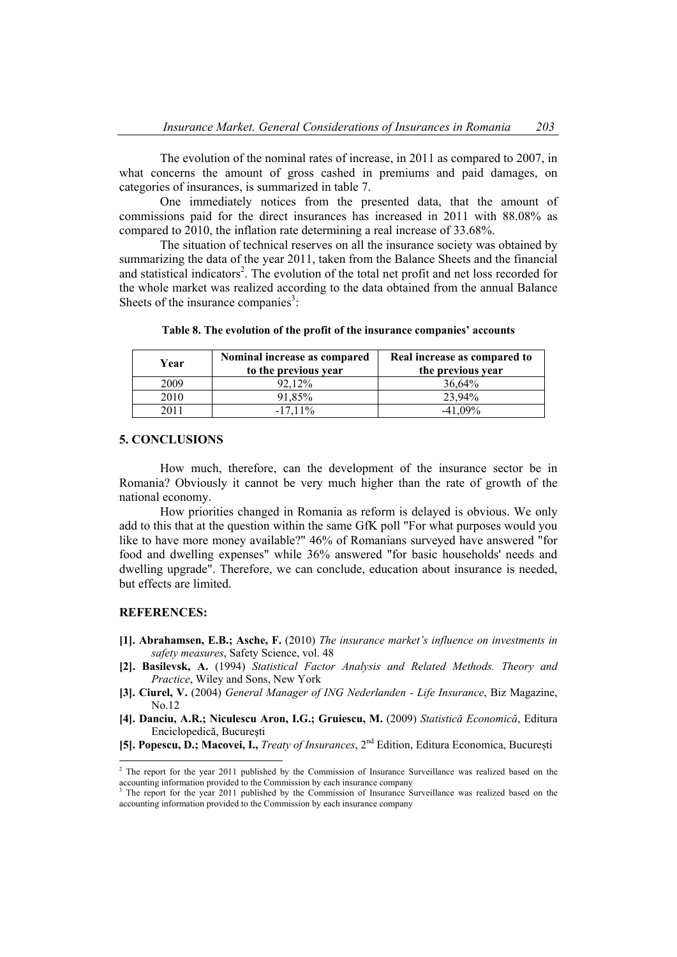The evolution of the nominal rates of increase, in 2011 as compared to 2007, in what concerns the amount of gross cashed in premiums and paid damages, on categories of insurances, is summarized in table 7.

One immediately notices from the presented data, that the amount of commissions paid for the direct insurances has increased in 2011 with 88.08% as compared to 2010, the inflation rate determining a real increase of 33.68%.

The situation of technical reserves on all the insurance society was obtained by summarizing the data of the year 2011, taken from the Balance Sheets and the financial and statistical indicators<sup>2</sup>. The evolution of the total net profit and net loss recorded for the whole market was realized according to the data obtained from the annual Balance Sheets of the insurance companies<sup>3</sup>:

| Year | Nominal increase as compared<br>to the previous year | Real increase as compared to<br>the previous year |
|------|------------------------------------------------------|---------------------------------------------------|
| 2009 | 92.12%                                               | 36,64%                                            |
| 2010 | 91,85%                                               | 23,94%                                            |
| 2011 | $-17.11\%$                                           | $-41.09\%$                                        |

**Table 8. The evolution of the profit of the insurance companies' accounts** 

#### **5. CONCLUSIONS**

How much, therefore, can the development of the insurance sector be in Romania? Obviously it cannot be very much higher than the rate of growth of the national economy.

 How priorities changed in Romania as reform is delayed is obvious. We only add to this that at the question within the same GfK poll "For what purposes would you like to have more money available?" 46% of Romanians surveyed have answered "for food and dwelling expenses" while 36% answered "for basic households' needs and dwelling upgrade". Therefore, we can conclude, education about insurance is needed, but effects are limited.

#### **REFERENCES:**

- **[1]. Abrahamsen, E.B.; Asche, F.** (2010) *The insurance market's influence on investments in safety measures*, Safety Science, vol. 48
- **[2]. Basilevsk, A.** (1994) *Statistical Factor Analysis and Related Methods. Theory and Practice*, Wiley and Sons, New York
- **[3]. Ciurel, V.** (2004) *General Manager of ING Nederlanden Life Insurance*, Biz Magazine, No.12
- **[4]. Danciu, A.R.; Niculescu Aron, I.G.; Gruiescu, M.** (2009) *Statistică Economică*, Editura Enciclopedică, Bucureşti
- **[5]. Popescu, D.; Macovei, I.,** *Treaty of Insurances*, 2nd Edition, Editura Economica, București

<sup>&</sup>lt;sup>2</sup> The report for the year 2011 published by the Commission of Insurance Surveillance was realized based on the accounting information provided to the Commission by each insurance company<br><sup>3</sup> The report for the year 2011 published by the Commission of Insurance Surveillance was realized based on the

accounting information provided to the Commission by each insurance company